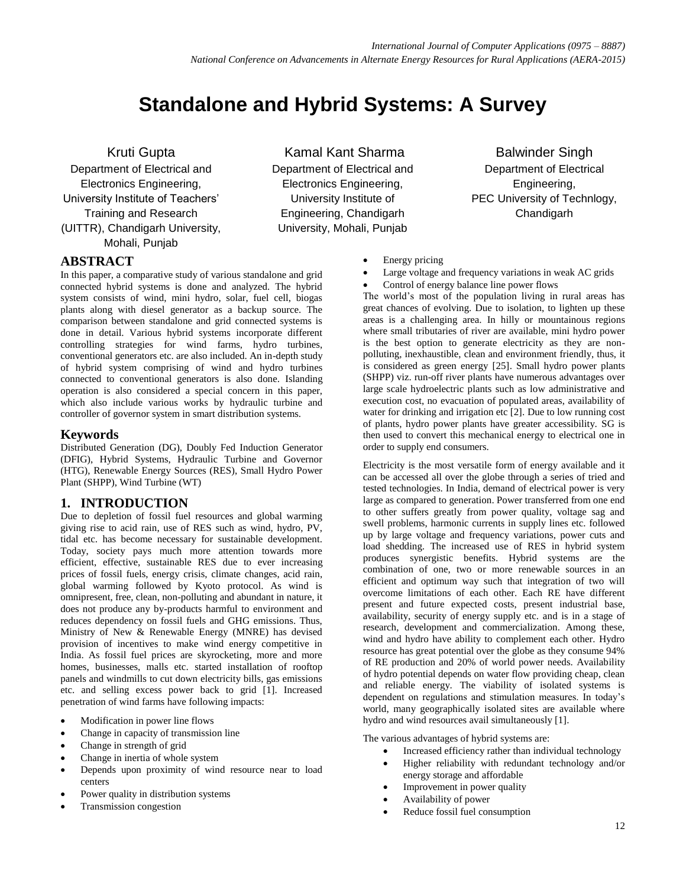# **Standalone and Hybrid Systems: A Survey**

Kruti Gupta

Department of Electrical and Electronics Engineering, University Institute of Teachers' Training and Research (UITTR), Chandigarh University, Mohali, Punjab

#### **ABSTRACT**

In this paper, a comparative study of various standalone and grid connected hybrid systems is done and analyzed. The hybrid system consists of wind, mini hydro, solar, fuel cell, biogas plants along with diesel generator as a backup source. The comparison between standalone and grid connected systems is done in detail. Various hybrid systems incorporate different controlling strategies for wind farms, hydro turbines, conventional generators etc. are also included. An in-depth study of hybrid system comprising of wind and hydro turbines connected to conventional generators is also done. Islanding operation is also considered a special concern in this paper, which also include various works by hydraulic turbine and controller of governor system in smart distribution systems.

#### **Keywords**

Distributed Generation (DG), Doubly Fed Induction Generator (DFIG), Hybrid Systems, Hydraulic Turbine and Governor (HTG), Renewable Energy Sources (RES), Small Hydro Power Plant (SHPP), Wind Turbine (WT)

#### **1. INTRODUCTION**

Due to depletion of fossil fuel resources and global warming giving rise to acid rain, use of RES such as wind, hydro, PV, tidal etc. has become necessary for sustainable development. Today, society pays much more attention towards more efficient, effective, sustainable RES due to ever increasing prices of fossil fuels, energy crisis, climate changes, acid rain, global warming followed by Kyoto protocol. As wind is omnipresent, free, clean, non-polluting and abundant in nature, it does not produce any by-products harmful to environment and reduces dependency on fossil fuels and GHG emissions. Thus, Ministry of New & Renewable Energy (MNRE) has devised provision of incentives to make wind energy competitive in India. As fossil fuel prices are skyrocketing, more and more homes, businesses, malls etc. started installation of rooftop panels and windmills to cut down electricity bills, gas emissions etc. and selling excess power back to grid [1]. Increased penetration of wind farms have following impacts:

- Modification in power line flows
- Change in capacity of transmission line
- Change in strength of grid
- Change in inertia of whole system
- Depends upon proximity of wind resource near to load centers
- Power quality in distribution systems
- Transmission congestion

Kamal Kant Sharma Department of Electrical and Electronics Engineering, University Institute of Engineering, Chandigarh University, Mohali, Punjab

Balwinder Singh Department of Electrical Engineering, PEC University of Technlogy, Chandigarh

- Energy pricing
- Large voltage and frequency variations in weak AC grids
- Control of energy balance line power flows

The world's most of the population living in rural areas has great chances of evolving. Due to isolation, to lighten up these areas is a challenging area. In hilly or mountainous regions where small tributaries of river are available, mini hydro power is the best option to generate electricity as they are nonpolluting, inexhaustible, clean and environment friendly, thus, it is considered as green energy [25]. Small hydro power plants (SHPP) viz. run-off river plants have numerous advantages over large scale hydroelectric plants such as low administrative and execution cost, no evacuation of populated areas, availability of water for drinking and irrigation etc [2]. Due to low running cost of plants, hydro power plants have greater accessibility. SG is then used to convert this mechanical energy to electrical one in order to supply end consumers.

Electricity is the most versatile form of energy available and it can be accessed all over the globe through a series of tried and tested technologies. In India, demand of electrical power is very large as compared to generation. Power transferred from one end to other suffers greatly from power quality, voltage sag and swell problems, harmonic currents in supply lines etc. followed up by large voltage and frequency variations, power cuts and load shedding. The increased use of RES in hybrid system produces synergistic benefits. Hybrid systems are the combination of one, two or more renewable sources in an efficient and optimum way such that integration of two will overcome limitations of each other. Each RE have different present and future expected costs, present industrial base, availability, security of energy supply etc. and is in a stage of research, development and commercialization. Among these, wind and hydro have ability to complement each other. Hydro resource has great potential over the globe as they consume 94% of RE production and 20% of world power needs. Availability of hydro potential depends on water flow providing cheap, clean and reliable energy. The viability of isolated systems is dependent on regulations and stimulation measures. In today's world, many geographically isolated sites are available where hydro and wind resources avail simultaneously [1].

The various advantages of hybrid systems are:

- Increased efficiency rather than individual technology
	- Higher reliability with redundant technology and/or energy storage and affordable
	- Improvement in power quality
- Availability of power
- Reduce fossil fuel consumption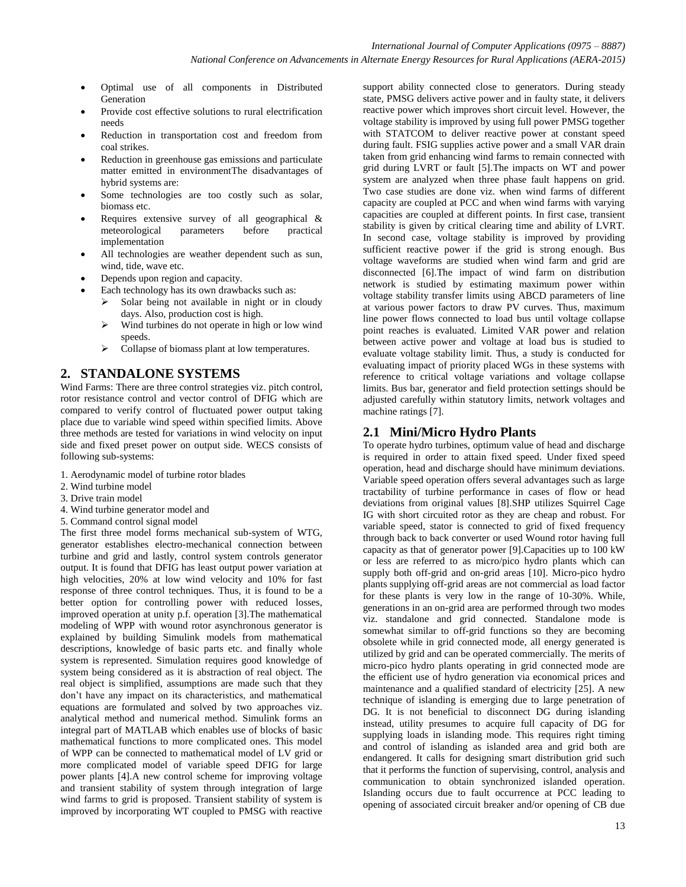- Optimal use of all components in Distributed Generation
- Provide cost effective solutions to rural electrification needs
- Reduction in transportation cost and freedom from coal strikes.
- Reduction in greenhouse gas emissions and particulate matter emitted in environmentThe disadvantages of hybrid systems are:
- Some technologies are too costly such as solar, biomass etc.
- Requires extensive survey of all geographical & meteorological parameters before practical implementation
- All technologies are weather dependent such as sun, wind, tide, wave etc.
- Depends upon region and capacity.
- Each technology has its own drawbacks such as:
	- $\triangleright$  Solar being not available in night or in cloudy days. Also, production cost is high.
	- $\triangleright$  Wind turbines do not operate in high or low wind speeds.
	- $\triangleright$  Collapse of biomass plant at low temperatures.

# **2. STANDALONE SYSTEMS**

Wind Farms: There are three control strategies viz. pitch control, rotor resistance control and vector control of DFIG which are compared to verify control of fluctuated power output taking place due to variable wind speed within specified limits. Above three methods are tested for variations in wind velocity on input side and fixed preset power on output side. WECS consists of following sub-systems:

- 1. Aerodynamic model of turbine rotor blades
- 2. Wind turbine model
- 3. Drive train model
- 4. Wind turbine generator model and
- 5. Command control signal model

The first three model forms mechanical sub-system of WTG, generator establishes electro-mechanical connection between turbine and grid and lastly, control system controls generator output. It is found that DFIG has least output power variation at high velocities, 20% at low wind velocity and 10% for fast response of three control techniques. Thus, it is found to be a better option for controlling power with reduced losses, improved operation at unity p.f. operation [3].The mathematical modeling of WPP with wound rotor asynchronous generator is explained by building Simulink models from mathematical descriptions, knowledge of basic parts etc. and finally whole system is represented. Simulation requires good knowledge of system being considered as it is abstraction of real object. The real object is simplified, assumptions are made such that they don't have any impact on its characteristics, and mathematical equations are formulated and solved by two approaches viz. analytical method and numerical method. Simulink forms an integral part of MATLAB which enables use of blocks of basic mathematical functions to more complicated ones. This model of WPP can be connected to mathematical model of LV grid or more complicated model of variable speed DFIG for large power plants [4].A new control scheme for improving voltage and transient stability of system through integration of large wind farms to grid is proposed. Transient stability of system is improved by incorporating WT coupled to PMSG with reactive support ability connected close to generators. During steady state, PMSG delivers active power and in faulty state, it delivers reactive power which improves short circuit level. However, the voltage stability is improved by using full power PMSG together with STATCOM to deliver reactive power at constant speed during fault. FSIG supplies active power and a small VAR drain taken from grid enhancing wind farms to remain connected with grid during LVRT or fault [5].The impacts on WT and power system are analyzed when three phase fault happens on grid. Two case studies are done viz. when wind farms of different capacity are coupled at PCC and when wind farms with varying capacities are coupled at different points. In first case, transient stability is given by critical clearing time and ability of LVRT. In second case, voltage stability is improved by providing sufficient reactive power if the grid is strong enough. Bus voltage waveforms are studied when wind farm and grid are disconnected [6].The impact of wind farm on distribution network is studied by estimating maximum power within voltage stability transfer limits using ABCD parameters of line at various power factors to draw PV curves. Thus, maximum line power flows connected to load bus until voltage collapse point reaches is evaluated. Limited VAR power and relation between active power and voltage at load bus is studied to evaluate voltage stability limit. Thus, a study is conducted for evaluating impact of priority placed WGs in these systems with reference to critical voltage variations and voltage collapse limits. Bus bar, generator and field protection settings should be adjusted carefully within statutory limits, network voltages and machine ratings [7].

## **2.1 Mini/Micro Hydro Plants**

To operate hydro turbines, optimum value of head and discharge is required in order to attain fixed speed. Under fixed speed operation, head and discharge should have minimum deviations. Variable speed operation offers several advantages such as large tractability of turbine performance in cases of flow or head deviations from original values [8].SHP utilizes Squirrel Cage IG with short circuited rotor as they are cheap and robust. For variable speed, stator is connected to grid of fixed frequency through back to back converter or used Wound rotor having full capacity as that of generator power [9].Capacities up to 100 kW or less are referred to as micro/pico hydro plants which can supply both off-grid and on-grid areas [10]. Micro-pico hydro plants supplying off-grid areas are not commercial as load factor for these plants is very low in the range of 10-30%. While, generations in an on-grid area are performed through two modes viz. standalone and grid connected. Standalone mode is somewhat similar to off-grid functions so they are becoming obsolete while in grid connected mode, all energy generated is utilized by grid and can be operated commercially. The merits of micro-pico hydro plants operating in grid connected mode are the efficient use of hydro generation via economical prices and maintenance and a qualified standard of electricity [25]. A new technique of islanding is emerging due to large penetration of DG. It is not beneficial to disconnect DG during islanding instead, utility presumes to acquire full capacity of DG for supplying loads in islanding mode. This requires right timing and control of islanding as islanded area and grid both are endangered. It calls for designing smart distribution grid such that it performs the function of supervising, control, analysis and communication to obtain synchronized islanded operation. Islanding occurs due to fault occurrence at PCC leading to opening of associated circuit breaker and/or opening of CB due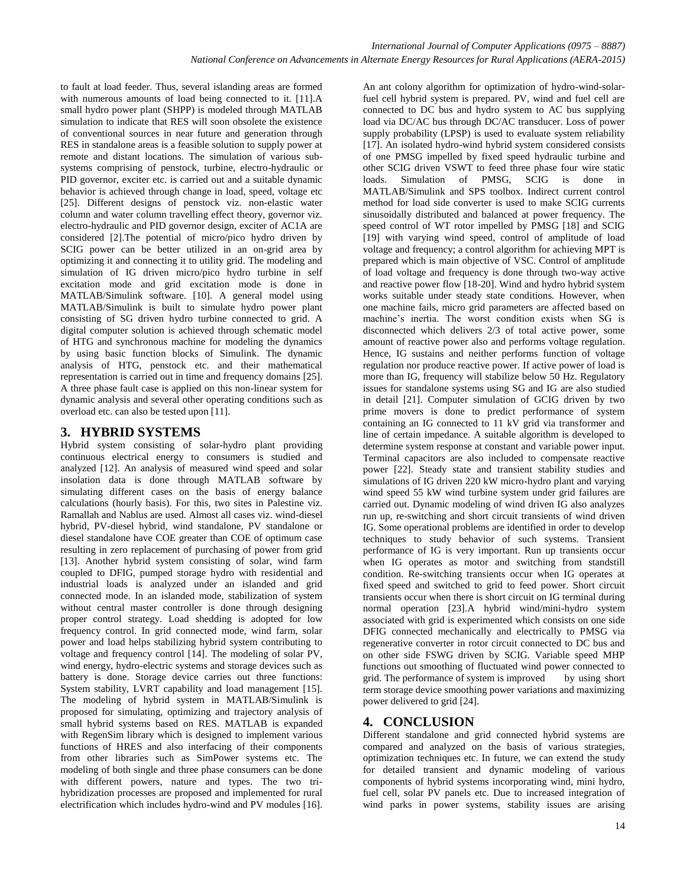to fault at load feeder. Thus, several islanding areas are formed with numerous amounts of load being connected to it. [11].A small hydro power plant (SHPP) is modeled through MATLAB simulation to indicate that RES will soon obsolete the existence of conventional sources in near future and generation through RES in standalone areas is a feasible solution to supply power at remote and distant locations. The simulation of various subsystems comprising of penstock, turbine, electro-hydraulic or PID governor, exciter etc. is carried out and a suitable dynamic behavior is achieved through change in load, speed, voltage etc [25]. Different designs of penstock viz. non-elastic water column and water column travelling effect theory, governor viz. electro-hydraulic and PID governor design, exciter of AC1A are considered [2].The potential of micro/pico hydro driven by SCIG power can be better utilized in an on-grid area by optimizing it and connecting it to utility grid. The modeling and simulation of IG driven micro/pico hydro turbine in self excitation mode and grid excitation mode is done in MATLAB/Simulink software. [10]. A general model using MATLAB/Simulink is built to simulate hydro power plant consisting of SG driven hydro turbine connected to grid. A digital computer solution is achieved through schematic model of HTG and synchronous machine for modeling the dynamics by using basic function blocks of Simulink. The dynamic analysis of HTG, penstock etc. and their mathematical representation is carried out in time and frequency domains [25]. A three phase fault case is applied on this non-linear system for dynamic analysis and several other operating conditions such as overload etc. can also be tested upon [11].

## **3. HYBRID SYSTEMS**

Hybrid system consisting of solar-hydro plant providing continuous electrical energy to consumers is studied and analyzed [12]. An analysis of measured wind speed and solar insolation data is done through MATLAB software by simulating different cases on the basis of energy balance calculations (hourly basis). For this, two sites in Palestine viz. Ramallah and Nablus are used. Almost all cases viz. wind-diesel hybrid, PV-diesel hybrid, wind standalone, PV standalone or diesel standalone have COE greater than COE of optimum case resulting in zero replacement of purchasing of power from grid [13]. Another hybrid system consisting of solar, wind farm coupled to DFIG, pumped storage hydro with residential and industrial loads is analyzed under an islanded and grid connected mode. In an islanded mode, stabilization of system without central master controller is done through designing proper control strategy. Load shedding is adopted for low frequency control. In grid connected mode, wind farm, solar power and load helps stabilizing hybrid system contributing to voltage and frequency control [14]. The modeling of solar PV, wind energy, hydro-electric systems and storage devices such as battery is done. Storage device carries out three functions: System stability, LVRT capability and load management [15]. The modeling of hybrid system in MATLAB/Simulink is proposed for simulating, optimizing and trajectory analysis of small hybrid systems based on RES. MATLAB is expanded with RegenSim library which is designed to implement various functions of HRES and also interfacing of their components from other libraries such as SimPower systems etc. The modeling of both single and three phase consumers can be done with different powers, nature and types. The two trihybridization processes are proposed and implemented for rural electrification which includes hydro-wind and PV modules [16].

An ant colony algorithm for optimization of hydro-wind-solarfuel cell hybrid system is prepared. PV, wind and fuel cell are connected to DC bus and hydro system to AC bus supplying load via DC/AC bus through DC/AC transducer. Loss of power supply probability (LPSP) is used to evaluate system reliability [17]. An isolated hydro-wind hybrid system considered consists of one PMSG impelled by fixed speed hydraulic turbine and other SCIG driven VSWT to feed three phase four wire static loads. Simulation of PMSG, SCIG is done in MATLAB/Simulink and SPS toolbox. Indirect current control method for load side converter is used to make SCIG currents sinusoidally distributed and balanced at power frequency. The speed control of WT rotor impelled by PMSG [18] and SCIG [19] with varying wind speed, control of amplitude of load voltage and frequency; a control algorithm for achieving MPT is prepared which is main objective of VSC. Control of amplitude of load voltage and frequency is done through two-way active and reactive power flow [18-20]. Wind and hydro hybrid system works suitable under steady state conditions. However, when one machine fails, micro grid parameters are affected based on machine's inertia. The worst condition exists when SG is disconnected which delivers 2/3 of total active power, some amount of reactive power also and performs voltage regulation. Hence, IG sustains and neither performs function of voltage regulation nor produce reactive power. If active power of load is more than IG, frequency will stabilize below 50 Hz. Regulatory issues for standalone systems using SG and IG are also studied in detail [21]. Computer simulation of GCIG driven by two prime movers is done to predict performance of system containing an IG connected to 11 kV grid via transformer and line of certain impedance. A suitable algorithm is developed to determine system response at constant and variable power input. Terminal capacitors are also included to compensate reactive power [22]. Steady state and transient stability studies and simulations of IG driven 220 kW micro-hydro plant and varying wind speed 55 kW wind turbine system under grid failures are carried out. Dynamic modeling of wind driven IG also analyzes run up, re-switching and short circuit transients of wind driven IG. Some operational problems are identified in order to develop techniques to study behavior of such systems. Transient performance of IG is very important. Run up transients occur when IG operates as motor and switching from standstill condition. Re-switching transients occur when IG operates at fixed speed and switched to grid to feed power. Short circuit transients occur when there is short circuit on IG terminal during normal operation [23].A hybrid wind/mini-hydro system associated with grid is experimented which consists on one side DFIG connected mechanically and electrically to PMSG via regenerative converter in rotor circuit connected to DC bus and on other side FSWG driven by SCIG. Variable speed MHP functions out smoothing of fluctuated wind power connected to grid. The performance of system is improved by using short term storage device smoothing power variations and maximizing power delivered to grid [24].

# **4. CONCLUSION**

Different standalone and grid connected hybrid systems are compared and analyzed on the basis of various strategies, optimization techniques etc. In future, we can extend the study for detailed transient and dynamic modeling of various components of hybrid systems incorporating wind, mini hydro, fuel cell, solar PV panels etc. Due to increased integration of wind parks in power systems, stability issues are arising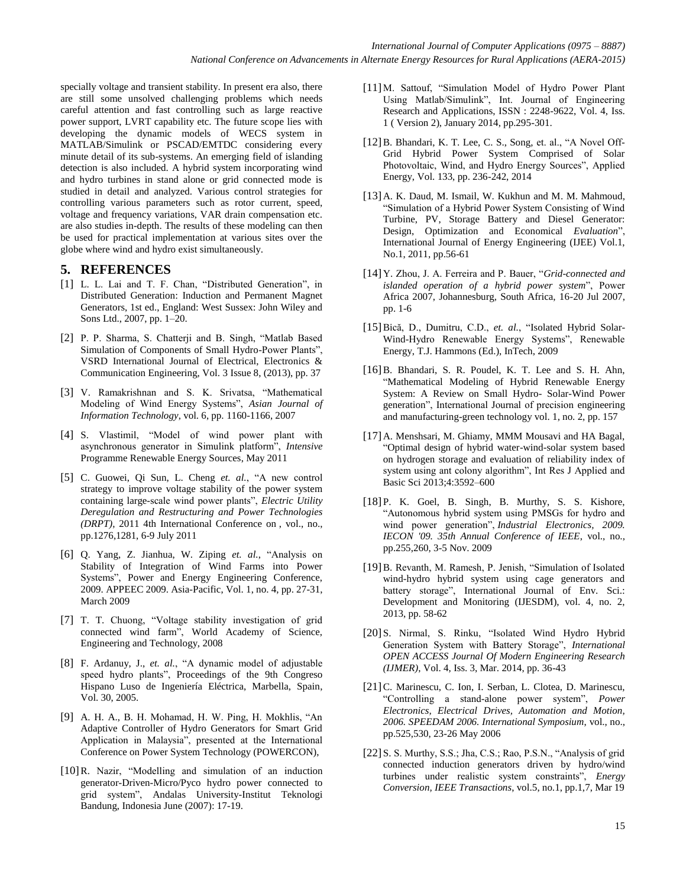specially voltage and transient stability. In present era also, there are still some unsolved challenging problems which needs careful attention and fast controlling such as large reactive power support, LVRT capability etc. The future scope lies with developing the dynamic models of WECS system in MATLAB/Simulink or PSCAD/EMTDC considering every minute detail of its sub-systems. An emerging field of islanding detection is also included. A hybrid system incorporating wind and hydro turbines in stand alone or grid connected mode is studied in detail and analyzed. Various control strategies for controlling various parameters such as rotor current, speed, voltage and frequency variations, VAR drain compensation etc. are also studies in-depth. The results of these modeling can then be used for practical implementation at various sites over the globe where wind and hydro exist simultaneously.

#### **5. REFERENCES**

- [1] L. L. Lai and T. F. Chan, "Distributed Generation", in Distributed Generation: Induction and Permanent Magnet Generators, 1st ed., England: West Sussex: John Wiley and Sons Ltd., 2007, pp. 1–20.
- [2] P. P. Sharma, S. Chatterji and B. Singh, "Matlab Based Simulation of Components of Small Hydro-Power Plants", VSRD International Journal of Electrical, Electronics & Communication Engineering, Vol. 3 Issue 8, (2013), pp. 37
- [3] V. Ramakrishnan and S. K. Srivatsa, "Mathematical Modeling of Wind Energy Systems", *Asian Journal of Information Technology*, vol. 6, pp. 1160-1166, 2007
- [4] S. Vlastimil, "Model of wind power plant with asynchronous generator in Simulink platform", *Intensive*  Programme Renewable Energy Sources, May 2011
- [5] C. Guowei, Qi Sun, L. Cheng *et. al.*, "A new control strategy to improve voltage stability of the power system containing large-scale wind power plants", *Electric Utility Deregulation and Restructuring and Power Technologies (DRPT)*, 2011 4th International Conference on , vol., no., pp.1276,1281, 6-9 July 2011
- [6] Q. Yang, Z. Jianhua, W. Ziping *et. al.*, "Analysis on Stability of Integration of Wind Farms into Power Systems", Power and Energy Engineering Conference, 2009. APPEEC 2009. Asia-Pacific, Vol. 1, no. 4, pp. 27-31, March 2009
- [7] T. T. Chuong, "Voltage stability investigation of grid connected wind farm", World Academy of Science, Engineering and Technology, 2008
- [8] F. Ardanuy, J., *et. al.*, "A dynamic model of adjustable speed hydro plants", Proceedings of the 9th Congreso Hispano Luso de Ingeniería Eléctrica, Marbella, Spain, Vol. 30, 2005.
- [9] A. H. A., B. H. Mohamad, H. W. Ping, H. Mokhlis, "An Adaptive Controller of Hydro Generators for Smart Grid Application in Malaysia", presented at the International Conference on Power System Technology (POWERCON),
- [10]R. Nazir, "Modelling and simulation of an induction generator-Driven-Micro/Pyco hydro power connected to grid system", Andalas University-Institut Teknologi Bandung, Indonesia June (2007): 17-19.
- [11]M. Sattouf, "Simulation Model of Hydro Power Plant Using Matlab/Simulink", Int. Journal of Engineering Research and Applications, ISSN : 2248-9622, Vol. 4, Iss. 1 ( Version 2), January 2014, pp.295-301.
- [12] B. Bhandari, K. T. Lee, C. S., Song, et. al., "A Novel Off-Grid Hybrid Power System Comprised of Solar Photovoltaic, Wind, and Hydro Energy Sources", Applied Energy, Vol. 133, pp. 236-242, 2014
- [13]A. K. Daud, M. Ismail, W. Kukhun and M. M. Mahmoud, "Simulation of a Hybrid Power System Consisting of Wind Turbine, PV, Storage Battery and Diesel Generator: Design, Optimization and Economical *Evaluation*", International Journal of Energy Engineering (IJEE) Vol.1, No.1, 2011, pp.56-61
- [14]Y. Zhou, J. A. Ferreira and P. Bauer, "*Grid-connected and islanded operation of a hybrid power system*", Power Africa 2007, Johannesburg, South Africa, 16-20 Jul 2007, pp. 1-6
- [15]Bică, D., Dumitru, C.D., *et. al.*, "Isolated Hybrid Solar-Wind-Hydro Renewable Energy Systems", Renewable Energy, T.J. Hammons (Ed.), InTech, 2009
- [16]B. Bhandari, S. R. Poudel, K. T. Lee and S. H. Ahn, "Mathematical Modeling of Hybrid Renewable Energy System: A Review on Small Hydro- Solar-Wind Power generation", International Journal of precision engineering and manufacturing-green technology vol. 1, no. 2, pp. 157
- [17]A. Menshsari, M. Ghiamy, MMM Mousavi and HA Bagal, "Optimal design of hybrid water-wind-solar system based on hydrogen storage and evaluation of reliability index of system using ant colony algorithm", Int Res J Applied and Basic Sci 2013;4:3592–600
- [18] P. K. Goel, B. Singh, B. Murthy, S. S. Kishore, "Autonomous hybrid system using PMSGs for hydro and wind power generation", *Industrial Electronics, 2009. IECON '09. 35th Annual Conference of IEEE*, vol., no., pp.255,260, 3-5 Nov. 2009
- [19]B. Revanth, M. Ramesh, P. Jenish, "Simulation of Isolated wind-hydro hybrid system using cage generators and battery storage", International Journal of Env. Sci.: Development and Monitoring (IJESDM), vol. 4, no. 2, 2013, pp. 58-62
- [20] S. Nirmal, S. Rinku, "Isolated Wind Hydro Hybrid Generation System with Battery Storage", *International OPEN ACCESS Journal Of Modern Engineering Research (IJMER)*, Vol. 4, Iss. 3, Mar. 2014, pp. 36-43
- [21]C. Marinescu, C. Ion, I. Serban, L. Clotea, D. Marinescu, "Controlling a stand-alone power system", *Power Electronics, Electrical Drives, Automation and Motion, 2006. SPEEDAM 2006. International Symposium*, vol., no., pp.525,530, 23-26 May 2006
- [22] S. S. Murthy, S.S.; Jha, C.S.; Rao, P.S.N., "Analysis of grid connected induction generators driven by hydro/wind turbines under realistic system constraints", *Energy Conversion, IEEE Transactions*, vol.5, no.1, pp.1,7, Mar 19